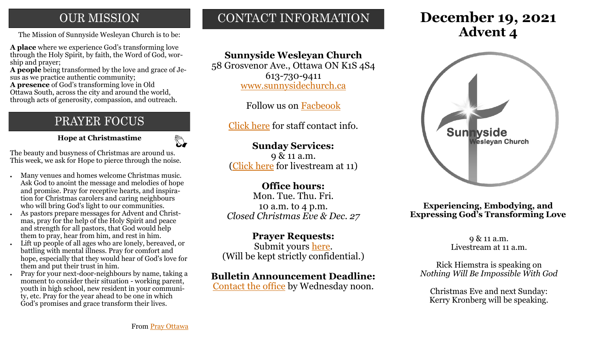# **OUR MISSION**

The Mission of Sunnyside Wesleyan Church is to be: **Advent 4** 

**A place** where we experience God's transforming love through the Holy Spirit, by faith, the Word of God, worship and prayer;

**A people** being transformed by the love and grace of Jesus as we practice authentic community;

**A presence** of God's transforming love in Old Ottawa South, across the city and around the world, through acts of generosity, compassion, and outreach.

# PRAYER FOCUS

 **Hope at Christmastime**

 $\sum_{i=1}^{n}$ 

The beauty and busyness of Christmas are around us. This week, we ask for Hope to pierce through the noise.

- Many venues and homes welcome Christmas music. Ask God to anoint the message and melodies of hope and promise. Pray for receptive hearts, and inspiration for Christmas carolers and caring neighbours who will bring God's light to our communities.
- As pastors prepare messages for Advent and Christmas, pray for the help of the Holy Spirit and peace and strength for all pastors, that God would help them to pray, hear from him, and rest in him.
- Lift up people of all ages who are lonely, bereaved, or battling with mental illness. Pray for comfort and hope, especially that they would hear of God's love for them and put their trust in him.
- Pray for your next-door-neighbours by name, taking a moment to consider their situation - working parent, youth in high school, new resident in your community, etc. Pray for the year ahead to be one in which God's promises and grace transform their lives.

# CONTACT INFORMATION

# **Sunnyside Wesleyan Church**

58 Grosvenor Ave., Ottawa ON K1S 4S4 613-730-9411 [www.sunnysidechurch.ca](http://www.sunnysidechurch.ca)

Follow us on [Facbeook](http://www.facebook.com/sunnysidewesleyanchurch)

[Click here](http://www.sunnysidechurch.ca/about-sunnyside/staff/) for staff contact info.

## **Sunday Services:**

9 & 11 a.m. ([Click here](https://youtube.com/channel/UCYfl9Qy37Az7fqqFQpDEwjg) for livestream at 11)

# **Office hours:**

Mon. Tue. Thu. Fri. 10 a.m. to 4 p.m. *Closed Christmas Eve & Dec. 27*

#### **Prayer Requests:**

Submit yours [here.](mailto:prayer@sunnysidechurch.ca) (Will be kept strictly confidential.)

### **Bulletin Announcement Deadline:**

[Contact the office](mailto:office@sunnysidechurch.ca) by Wednesday noon.

# **December 19, 2021**



**Experiencing, Embodying, and Expressing God's Transforming Love**

> 9 & 11 a.m. Livestream at 11 a.m.

Rick Hiemstra is speaking on *Nothing Will Be Impossible With God*

Christmas Eve and next Sunday: Kerry Kronberg will be speaking.